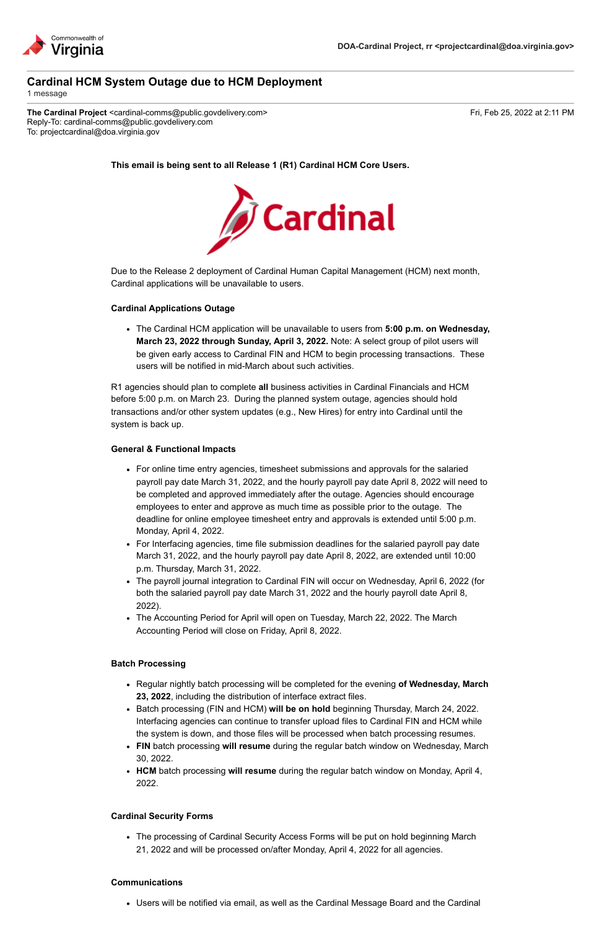

# **Cardinal HCM System Outage due to HCM Deployment**

1 message

The Cardinal Project <cardinal-comms@public.govdelivery.com> Fri, Feb 25, 2022 at 2:11 PM Reply-To: cardinal-comms@public.govdelivery.com To: projectcardinal@doa.virginia.gov

**This email is being sent to all Release 1 (R1) Cardinal HCM Core Users.**



Due to the Release 2 deployment of Cardinal Human Capital Management (HCM) next month, Cardinal applications will be unavailable to users.

## **Cardinal Applications Outage**

The Cardinal HCM application will be unavailable to users from **5:00 p.m. on Wednesday, March 23, 2022 through Sunday, April 3, 2022.** Note: A select group of pilot users will be given early access to Cardinal FIN and HCM to begin processing transactions. These users will be notified in mid-March about such activities.

R1 agencies should plan to complete **all** business activities in Cardinal Financials and HCM before 5:00 p.m. on March 23. During the planned system outage, agencies should hold transactions and/or other system updates (e.g., New Hires) for entry into Cardinal until the system is back up.

## **General & Functional Impacts**

- For online time entry agencies, timesheet submissions and approvals for the salaried payroll pay date March 31, 2022, and the hourly payroll pay date April 8, 2022 will need to be completed and approved immediately after the outage. Agencies should encourage employees to enter and approve as much time as possible prior to the outage. The deadline for online employee timesheet entry and approvals is extended until 5:00 p.m. Monday, April 4, 2022.
- For Interfacing agencies, time file submission deadlines for the salaried payroll pay date March 31, 2022, and the hourly payroll pay date April 8, 2022, are extended until 10:00 p.m. Thursday, March 31, 2022.
- The payroll journal integration to Cardinal FIN will occur on Wednesday, April 6, 2022 (for both the salaried payroll pay date March 31, 2022 and the hourly payroll date April 8, 2022).
- The Accounting Period for April will open on Tuesday, March 22, 2022. The March Accounting Period will close on Friday, April 8, 2022.

#### **Batch Processing**

- Regular nightly batch processing will be completed for the evening **of Wednesday, March 23, 2022**, including the distribution of interface extract files.
- Batch processing (FIN and HCM) **will be on hold** beginning Thursday, March 24, 2022. Interfacing agencies can continue to transfer upload files to Cardinal FIN and HCM while the system is down, and those files will be processed when batch processing resumes.
- **FIN** batch processing **will resume** during the regular batch window on Wednesday, March 30, 2022.
- **HCM** batch processing **will resume** during the regular batch window on Monday, April 4, 2022.

## **Cardinal Security Forms**

The processing of Cardinal Security Access Forms will be put on hold beginning March 21, 2022 and will be processed on/after Monday, April 4, 2022 for all agencies.

#### **Communications**

Users will be notified via email, as well as the Cardinal Message Board and the Cardinal